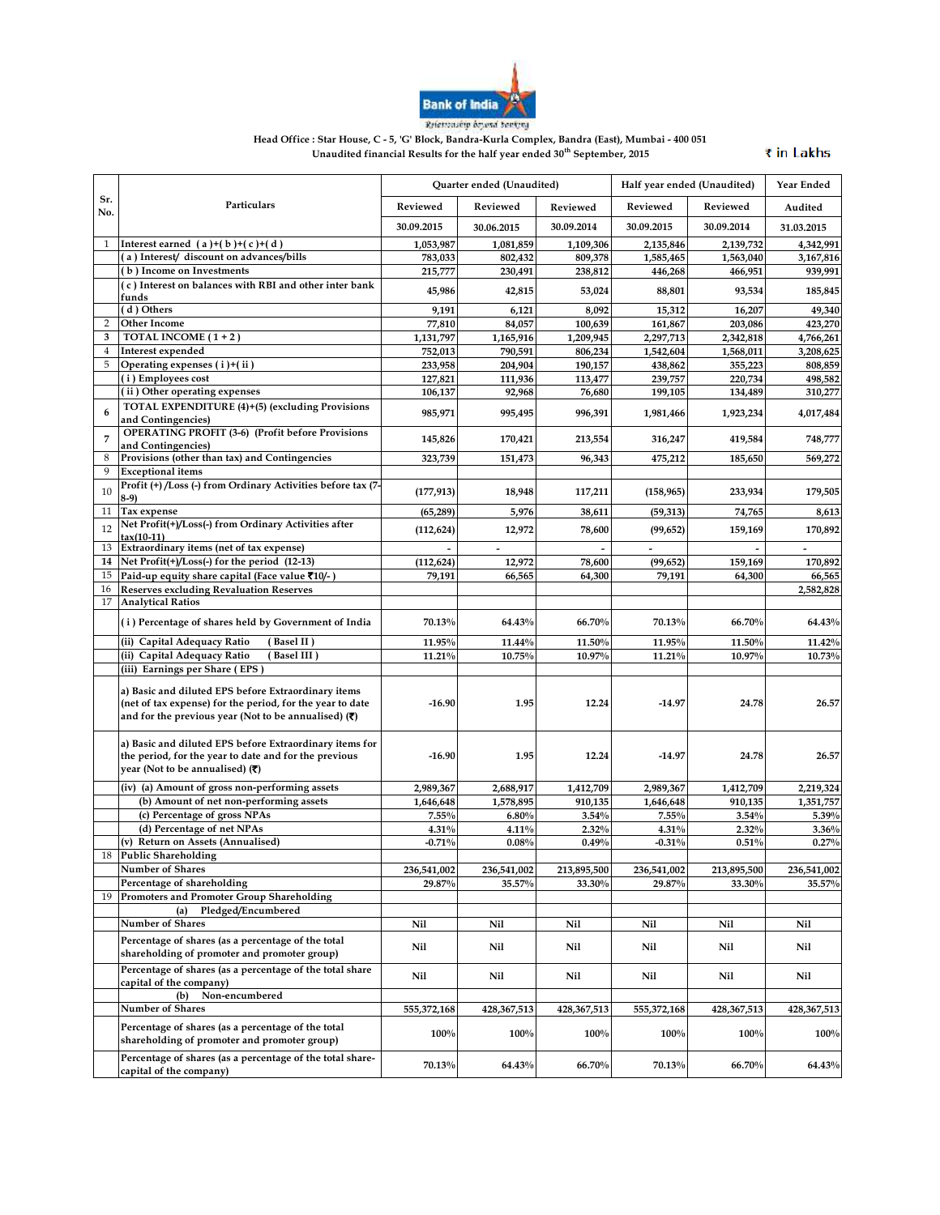

Relationship doyerd banking

**Head Office : Star House, C - 5, 'G' Block, Bandra-Kurla Complex, Bandra (East), Mumbai - 400 051 Unaudited financial Results for the half year ended 30th September, 2015**

₹ in Lakhs

|                |                                                                                                                                                                                                | Quarter ended (Unaudited) |                       |                       | Half year ended (Unaudited) |                       | Year Ended            |
|----------------|------------------------------------------------------------------------------------------------------------------------------------------------------------------------------------------------|---------------------------|-----------------------|-----------------------|-----------------------------|-----------------------|-----------------------|
| Sr.<br>No.     | Particulars                                                                                                                                                                                    | Reviewed                  | Reviewed              | Reviewed              | Reviewed                    | Reviewed              | Audited               |
|                |                                                                                                                                                                                                | 30.09.2015                | 30.06.2015            | 30.09.2014            | 30.09.2015                  | 30.09.2014            | 31.03.2015            |
| 1              | Interest earned $(a)+(b)+(c)+(d)$                                                                                                                                                              | 1,053,987                 | 1,081,859             | 1,109,306             | 2,135,846                   | 2,139,732             | 4,342,991             |
|                | (a) Interest/ discount on advances/bills                                                                                                                                                       | 783.033                   | 802,432               | 809,378               | 1,585,465                   | 1.563.040             | 3,167,816             |
|                | (b) Income on Investments                                                                                                                                                                      | 215,777                   | 230,491               | 238,812               | 446,268                     | 466,951               | 939,991               |
|                | (c) Interest on balances with RBI and other inter bank<br>funds                                                                                                                                | 45,986                    | 42,815                | 53,024                | 88,801                      | 93,534                | 185,845               |
|                | (d) Others                                                                                                                                                                                     | 9,191                     | 6,121                 | 8,092                 | 15,312                      | 16,207                | 49,340                |
| $\overline{2}$ | <b>Other Income</b>                                                                                                                                                                            | 77,810                    | 84,057                | 100,639               | 161,867                     | 203.086               | 423,270               |
| 3              | TOTAL INCOME (1+2)                                                                                                                                                                             | 1,131,797                 | 1,165,916             | 1,209,945             | 2,297,713                   | 2,342,818             | 4,766,261             |
| $\overline{4}$ | Interest expended                                                                                                                                                                              | 752,013                   | 790,591               | 806,234               | 1,542,604                   | 1,568,011             | 3,208,625             |
| 5              | Operating expenses (i)+(ii)                                                                                                                                                                    | 233,958                   | 204,904               | 190,157               | 438,862                     | 355,223               | 808,859               |
|                | (i) Employees cost                                                                                                                                                                             | 127,821                   | 111,936               | 113,477               | 239,757                     | 220,734               | 498,582               |
|                | (ii) Other operating expenses                                                                                                                                                                  | 106,137                   | 92,968                | 76,680                | 199,105                     | 134,489               | 310,277               |
| 6              | TOTAL EXPENDITURE (4)+(5) (excluding Provisions<br>and Contingencies)                                                                                                                          | 985,971                   | 995,495               | 996,391               | 1,981,466                   | 1,923,234             | 4,017,484             |
| 7              | <b>OPERATING PROFIT (3-6) (Profit before Provisions</b><br>and Contingencies)                                                                                                                  | 145,826                   | 170,421               | 213,554               | 316,247                     | 419,584               | 748,777               |
| 8              | Provisions (other than tax) and Contingencies                                                                                                                                                  | 323,739                   | 151,473               | 96,343                | 475,212                     | 185,650               | 569,272               |
| 9              | <b>Exceptional</b> items                                                                                                                                                                       |                           |                       |                       |                             |                       |                       |
| 10             | Profit (+)/Loss (-) from Ordinary Activities before tax (7-<br>$8-9$                                                                                                                           | (177, 913)                | 18,948                | 117,211               | (158, 965)                  | 233,934               | 179,505               |
| 11             | Tax expense                                                                                                                                                                                    | (65, 289)                 | 5,976                 | 38,611                | (59, 313)                   | 74,765                | 8,613                 |
|                | Net Profit(+)/Loss(-) from Ordinary Activities after                                                                                                                                           |                           |                       |                       |                             |                       |                       |
| 12             | $tax(10-11)$                                                                                                                                                                                   | (112, 624)                | 12,972                | 78,600                | (99, 652)                   | 159,169               | 170,892               |
| 13             | Extraordinary items (net of tax expense)                                                                                                                                                       |                           |                       |                       |                             |                       |                       |
| 14             | Net Profit(+)/Loss(-) for the period (12-13)                                                                                                                                                   | (112, 624)                | 12,972                | 78,600                | (99, 652)                   | 159,169               | 170,892               |
| 15             | Paid-up equity share capital (Face value ₹10/-)                                                                                                                                                | 79,191                    | 66,565                | 64,300                | 79,191                      | 64,300                | 66,565                |
| 16             | <b>Reserves excluding Revaluation Reserves</b>                                                                                                                                                 |                           |                       |                       |                             |                       | 2,582,828             |
| 17             | <b>Analytical Ratios</b>                                                                                                                                                                       |                           |                       |                       |                             |                       |                       |
|                | (i) Percentage of shares held by Government of India                                                                                                                                           | 70.13%                    | 64.43%                | 66.70%                | 70.13%                      | 66.70%                | 64.43%                |
|                | (ii) Capital Adequacy Ratio<br>(Basel II)                                                                                                                                                      | 11.95%                    | 11.44%                | 11.50%                | 11.95%                      | 11.50%                | 11.42%                |
|                | (ii) Capital Adequacy Ratio<br>(Basel III)                                                                                                                                                     | 11.21%                    | 10.75%                | 10.97%                | 11.21%                      | 10.97%                | 10.73%                |
|                | (iii) Earnings per Share (EPS)                                                                                                                                                                 |                           |                       |                       |                             |                       |                       |
|                | a) Basic and diluted EPS before Extraordinary items<br>(net of tax expense) for the period, for the year to date<br>and for the previous year (Not to be annualised) $(\overline{\mathbf{z}})$ | $-16.90$                  | 1.95                  | 12.24                 | $-14.97$                    | 24.78                 | 26.57                 |
|                | a) Basic and diluted EPS before Extraordinary items for<br>the period, for the year to date and for the previous<br>year (Not to be annualised) $(\overline{\mathbf{x}})$                      | $-16.90$                  | 1.95                  | 12.24                 | $-14.97$                    | 24.78                 | 26.57                 |
|                | (iv) (a) Amount of gross non-performing assets                                                                                                                                                 | 2,989,367                 | 2,688,917             | 1,412,709             | 2,989,367                   | 1,412,709             | 2,219,324             |
|                | (b) Amount of net non-performing assets                                                                                                                                                        | 1,646,648                 | 1,578,895             | 910,135               | 1,646,648                   | 910,135               | 1,351,757             |
|                | (c) Percentage of gross NPAs                                                                                                                                                                   | 7.55%                     | 6.80%                 | 3.54%                 | 7.55%                       | 3.54%                 | 5.39%                 |
|                | (d) Percentage of net NPAs                                                                                                                                                                     | 4.31%                     | 4.11%                 | 2.32%                 | 4.31%                       | 2.32%                 | 3.36%                 |
|                | (v) Return on Assets (Annualised)<br><b>Public Shareholding</b>                                                                                                                                | $-0.71%$                  | 0.08%                 | 0.49%                 | $-0.31%$                    | 0.51%                 | 0.27%                 |
| 18             | Number of Shares                                                                                                                                                                               |                           |                       |                       |                             |                       |                       |
|                | Percentage of shareholding                                                                                                                                                                     | 236,541,002<br>29.87%     | 236,541,002<br>35.57% | 213,895,500<br>33.30% | 236,541,002<br>29.87%       | 213,895,500<br>33.30% | 236,541,002<br>35.57% |
| 19             | Promoters and Promoter Group Shareholding                                                                                                                                                      |                           |                       |                       |                             |                       |                       |
|                | Pledged/Encumbered<br>(a)                                                                                                                                                                      |                           |                       |                       |                             |                       |                       |
|                | Number of Shares                                                                                                                                                                               | Nil                       | Nil                   | Nil                   | Nil                         | Nil                   | Nil                   |
|                | Percentage of shares (as a percentage of the total                                                                                                                                             |                           |                       |                       |                             |                       |                       |
|                | shareholding of promoter and promoter group)                                                                                                                                                   | Nil                       | Nil                   | Nil                   | Nil                         | Nil                   | Nil                   |
|                | Percentage of shares (as a percentage of the total share<br>capital of the company)                                                                                                            | Nil                       | Nil                   | Nil                   | Nil                         | Nil                   | Nil                   |
|                | Non-encumbered<br>(b)                                                                                                                                                                          |                           |                       |                       |                             |                       |                       |
|                | Number of Shares                                                                                                                                                                               | 555,372,168               | 428,367,513           | 428,367,513           | 555,372,168                 | 428,367,513           | 428,367,513           |
|                | Percentage of shares (as a percentage of the total                                                                                                                                             |                           |                       |                       |                             |                       |                       |
|                | shareholding of promoter and promoter group)                                                                                                                                                   | 100%                      | 100%                  | 100%                  | 100%                        | 100%                  | 100%                  |
|                | Percentage of shares (as a percentage of the total share-<br>capital of the company)                                                                                                           | 70.13%                    | 64.43%                | 66.70%                | 70.13%                      | 66.70%                | 64.43%                |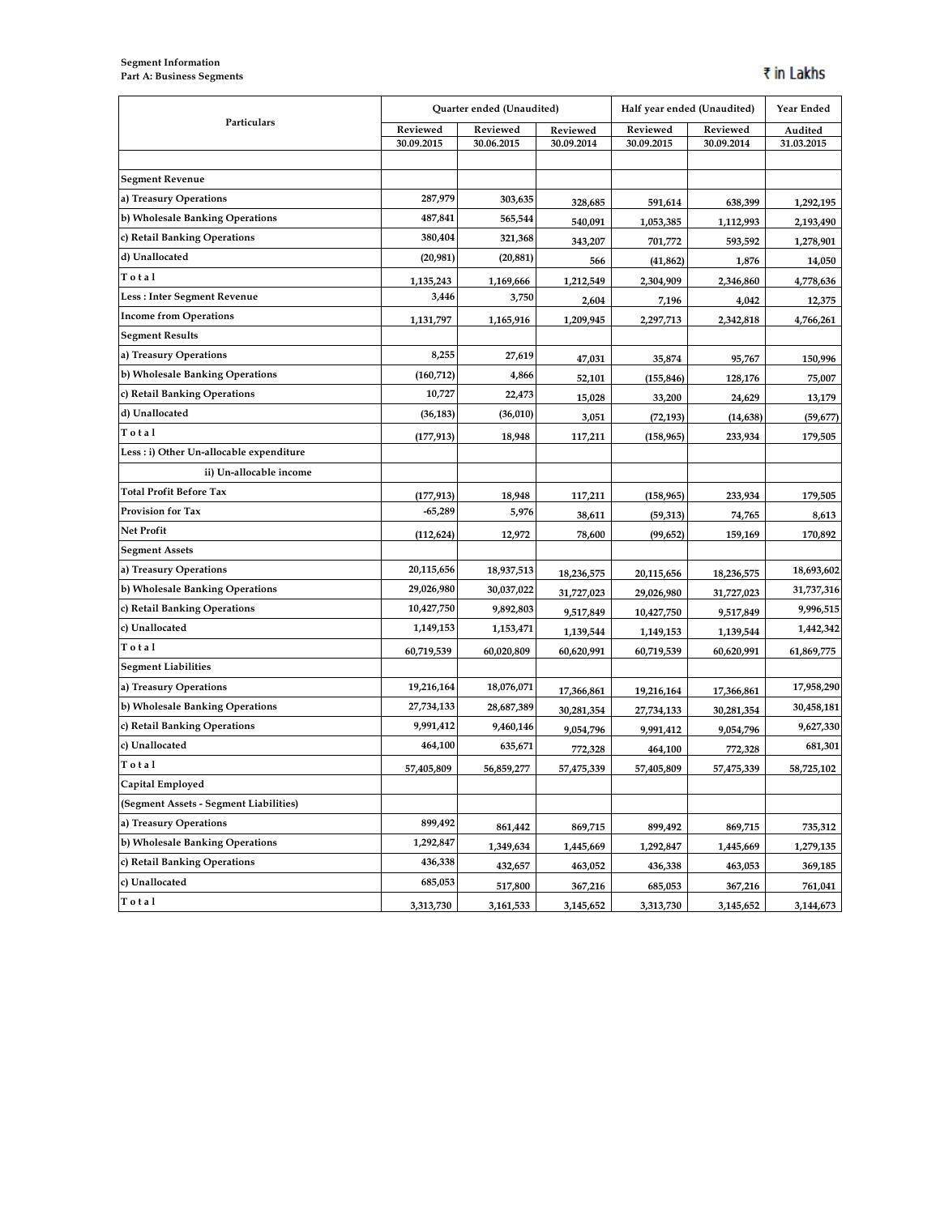## **Segment Information Part A: Business Segments**

|                                          | Quarter ended (Unaudited) |            | Half year ended (Unaudited) |            | Year Ended |            |
|------------------------------------------|---------------------------|------------|-----------------------------|------------|------------|------------|
| Particulars                              | Reviewed                  | Reviewed   | Reviewed                    | Reviewed   | Reviewed   | Audited    |
|                                          | 30.09.2015                | 30.06.2015 | 30.09.2014                  | 30.09.2015 | 30.09.2014 | 31.03.2015 |
|                                          |                           |            |                             |            |            |            |
| <b>Segment Revenue</b>                   |                           |            |                             |            |            |            |
| a) Treasury Operations                   | 287,979                   | 303,635    | 328,685                     | 591,614    | 638,399    | 1,292,195  |
| b) Wholesale Banking Operations          | 487,841                   | 565,544    | 540,091                     | 1,053,385  | 1,112,993  | 2,193,490  |
| c) Retail Banking Operations             | 380,404                   | 321,368    | 343,207                     | 701,772    | 593,592    | 1,278,901  |
| d) Unallocated                           | (20, 981)                 | (20, 881)  | 566                         | (41, 862)  | 1,876      | 14,050     |
| Total                                    | 1,135,243                 | 1,169,666  | 1,212,549                   | 2,304,909  | 2,346,860  | 4,778,636  |
| Less: Inter Segment Revenue              | 3,446                     | 3,750      | 2,604                       | 7,196      | 4,042      | 12,375     |
| <b>Income from Operations</b>            | 1,131,797                 | 1,165,916  | 1,209,945                   | 2,297,713  | 2,342,818  | 4,766,261  |
| <b>Segment Results</b>                   |                           |            |                             |            |            |            |
| a) Treasury Operations                   | 8,255                     | 27,619     | 47,031                      | 35,874     | 95,767     | 150,996    |
| b) Wholesale Banking Operations          | (160, 712)                | 4,866      | 52,101                      | (155, 846) | 128,176    | 75,007     |
| c) Retail Banking Operations             | 10,727                    | 22,473     | 15,028                      | 33,200     | 24,629     | 13,179     |
| d) Unallocated                           | (36, 183)                 | (36, 010)  | 3,051                       | (72, 193)  | (14, 638)  | (59, 677)  |
| Total                                    | (177, 913)                | 18,948     | 117,211                     | (158, 965) | 233,934    | 179,505    |
| Less : i) Other Un-allocable expenditure |                           |            |                             |            |            |            |
| ii) Un-allocable income                  |                           |            |                             |            |            |            |
| <b>Total Profit Before Tax</b>           | (177, 913)                | 18,948     | 117,211                     | (158, 965) | 233,934    | 179,505    |
| <b>Provision for Tax</b>                 | $-65,289$                 | 5,976      | 38,611                      | (59, 313)  | 74,765     | 8,613      |
| <b>Net Profit</b>                        | (112, 624)                | 12,972     | 78,600                      | (99, 652)  | 159,169    | 170,892    |
| <b>Segment Assets</b>                    |                           |            |                             |            |            |            |
| a) Treasury Operations                   | 20,115,656                | 18,937,513 | 18,236,575                  | 20,115,656 | 18,236,575 | 18,693,602 |
| b) Wholesale Banking Operations          | 29,026,980                | 30,037,022 | 31,727,023                  | 29,026,980 | 31,727,023 | 31,737,316 |
| c) Retail Banking Operations             | 10,427,750                | 9,892,803  | 9,517,849                   | 10,427,750 | 9,517,849  | 9,996,515  |
| c) Unallocated                           | 1,149,153                 | 1,153,471  | 1,139,544                   | 1,149,153  | 1,139,544  | 1,442,342  |
| Total                                    | 60,719,539                | 60,020,809 | 60,620,991                  | 60,719,539 | 60,620,991 | 61,869,775 |
| <b>Segment Liabilities</b>               |                           |            |                             |            |            |            |
| a) Treasury Operations                   | 19,216,164                | 18,076,071 | 17,366,861                  | 19,216,164 | 17,366,861 | 17,958,290 |
| b) Wholesale Banking Operations          | 27,734,133                | 28,687,389 | 30,281,354                  | 27,734,133 | 30,281,354 | 30,458,181 |
| c) Retail Banking Operations             | 9,991,412                 | 9,460,146  | 9,054,796                   | 9,991,412  | 9,054,796  | 9,627,330  |
| c) Unallocated                           | 464,100                   | 635,671    | 772,328                     | 464,100    | 772,328    | 681,301    |
| Total                                    | 57,405,809                | 56,859,277 | 57,475,339                  | 57,405,809 | 57,475,339 | 58,725,102 |
| Capital Employed                         |                           |            |                             |            |            |            |
| (Segment Assets - Segment Liabilities)   |                           |            |                             |            |            |            |
| a) Treasury Operations                   | 899,492                   | 861,442    | 869,715                     | 899,492    | 869,715    | 735,312    |
| b) Wholesale Banking Operations          | 1,292,847                 | 1,349,634  | 1,445,669                   | 1,292,847  | 1,445,669  | 1,279,135  |
| c) Retail Banking Operations             | 436,338                   | 432,657    | 463,052                     | 436,338    | 463,053    | 369,185    |
| c) Unallocated                           | 685,053                   | 517,800    | 367,216                     | 685,053    | 367,216    | 761,041    |
| Total                                    | 3,313,730                 | 3,161,533  | 3,145,652                   | 3,313,730  | 3,145,652  | 3,144,673  |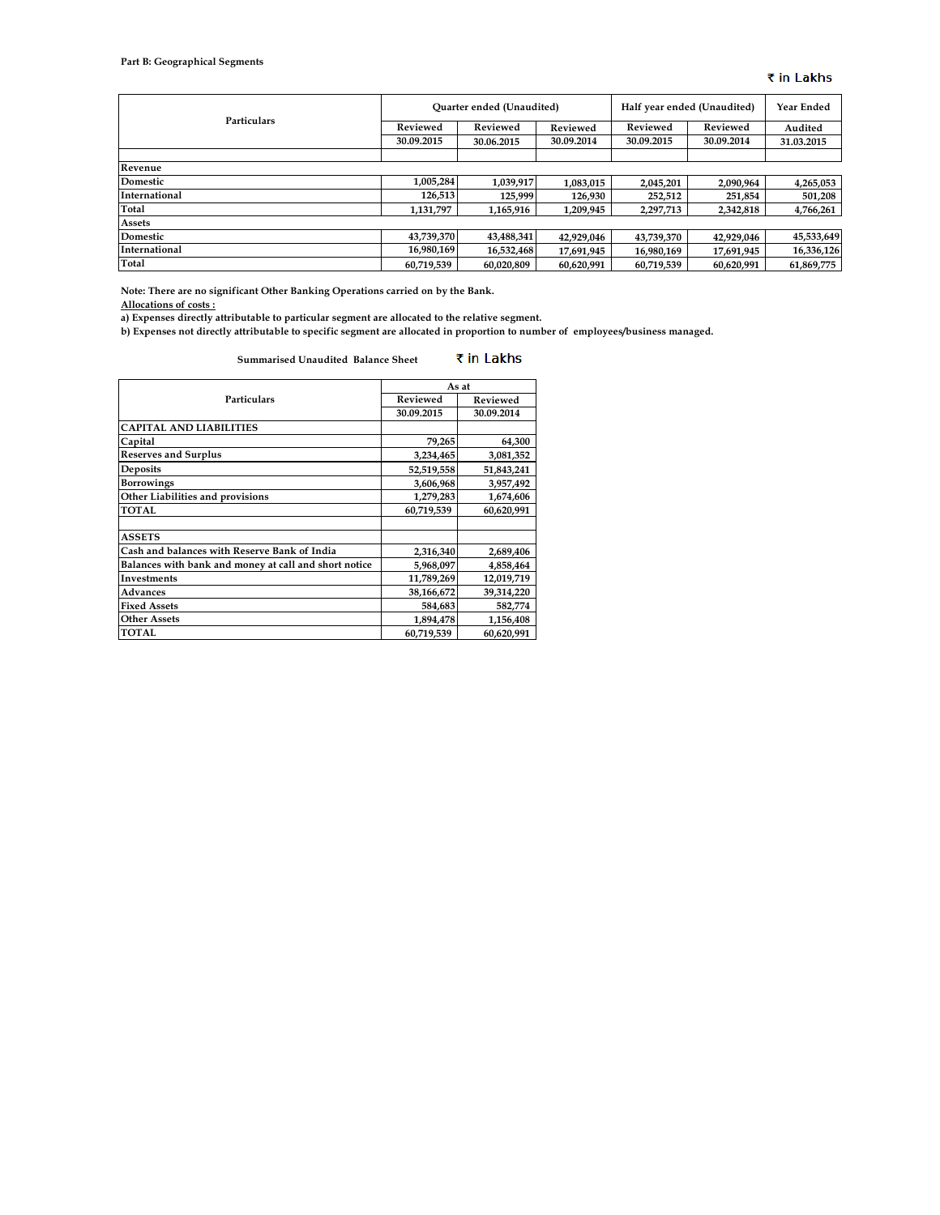## **Part B: Geographical Segments**

## ₹ in Lakhs

|               | <b>Ouarter ended (Unaudited)</b> |            |            | Half year ended (Unaudited) |            | <b>Year Ended</b> |
|---------------|----------------------------------|------------|------------|-----------------------------|------------|-------------------|
| Particulars   | Reviewed                         | Reviewed   | Reviewed   | Reviewed                    | Reviewed   | Audited           |
|               | 30.09.2015                       | 30.06.2015 | 30.09.2014 | 30.09.2015                  | 30.09.2014 | 31.03.2015        |
|               |                                  |            |            |                             |            |                   |
| Revenue       |                                  |            |            |                             |            |                   |
| Domestic      | 1,005,284                        | 1,039,917  | 1,083,015  | 2,045,201                   | 2,090,964  | 4,265,053         |
| International | 126.513                          | 125.999    | 126,930    | 252,512                     | 251,854    | 501,208           |
| <b>Total</b>  | 1,131,797                        | 1,165,916  | 1,209,945  | 2,297,713                   | 2,342,818  | 4,766,261         |
| Assets        |                                  |            |            |                             |            |                   |
| Domestic      | 43,739,370                       | 43,488,341 | 42,929,046 | 43.739.370                  | 42,929,046 | 45,533,649        |
| International | 16.980.169                       | 16,532,468 | 17,691,945 | 16,980,169                  | 17,691,945 | 16,336,126        |
| Total         | 60.719.539                       | 60.020.809 | 60.620.991 | 60,719,539                  | 60.620.991 | 61,869,775        |

**Note: There are no significant Other Banking Operations carried on by the Bank.**

**Allocations of costs :**

**a) Expenses directly attributable to particular segment are allocated to the relative segment.**

**b) Expenses not directly attributable to specific segment are allocated in proportion to number of employees/business managed.**

### ₹ in Lakhs **Summarised Unaudited Balance Sheet**

|                                                       | As at      |            |  |  |
|-------------------------------------------------------|------------|------------|--|--|
| <b>Particulars</b>                                    | Reviewed   | Reviewed   |  |  |
|                                                       | 30.09.2015 | 30.09.2014 |  |  |
| <b>CAPITAL AND LIABILITIES</b>                        |            |            |  |  |
| Capital                                               | 79,265     | 64,300     |  |  |
| <b>Reserves and Surplus</b>                           | 3,234,465  | 3,081,352  |  |  |
| Deposits                                              | 52,519,558 | 51,843,241 |  |  |
| <b>Borrowings</b>                                     | 3,606,968  | 3,957,492  |  |  |
| Other Liabilities and provisions                      | 1,279,283  | 1,674,606  |  |  |
| TOTAL                                                 | 60,719,539 | 60,620,991 |  |  |
|                                                       |            |            |  |  |
| <b>ASSETS</b>                                         |            |            |  |  |
| Cash and balances with Reserve Bank of India          | 2,316,340  | 2,689,406  |  |  |
| Balances with bank and money at call and short notice | 5,968,097  | 4,858,464  |  |  |
| Investments                                           | 11,789,269 | 12,019,719 |  |  |
| <b>Advances</b>                                       | 38,166,672 | 39,314,220 |  |  |
| <b>Fixed Assets</b>                                   | 584,683    | 582,774    |  |  |
| <b>Other Assets</b>                                   | 1,894,478  | 1,156,408  |  |  |
| TOTAL                                                 | 60,719,539 | 60,620,991 |  |  |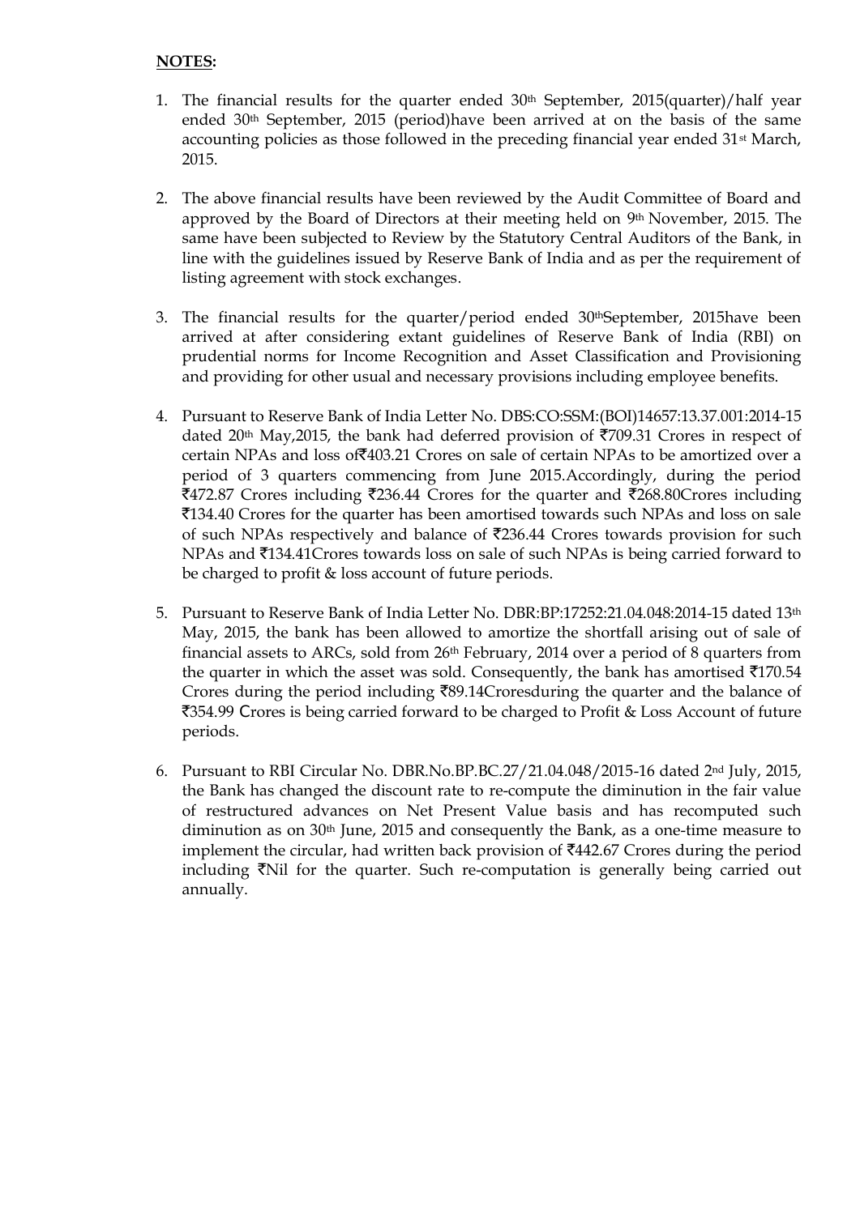# **NOTES:**

- 1. The financial results for the quarter ended  $30<sup>th</sup>$  September, 2015(quarter)/half year ended 30<sup>th</sup> September, 2015 (period)have been arrived at on the basis of the same accounting policies as those followed in the preceding financial year ended  $31<sup>st</sup>$  March, 2015.
- 2. The above financial results have been reviewed by the Audit Committee of Board and approved by the Board of Directors at their meeting held on  $9<sup>th</sup>$  November, 2015. The same have been subjected to Review by the Statutory Central Auditors of the Bank, in line with the guidelines issued by Reserve Bank of India and as per the requirement of listing agreement with stock exchanges.
- 3. The financial results for the quarter/period ended 30thSeptember, 2015have been arrived at after considering extant guidelines of Reserve Bank of India (RBI) on prudential norms for Income Recognition and Asset Classification and Provisioning and providing for other usual and necessary provisions including employee benefits.
- 4. Pursuant to Reserve Bank of India Letter No. DBS:CO:SSM:(BOI)14657:13.37.001:2014-15 dated 20<sup>th</sup> May, 2015, the bank had deferred provision of  $\overline{5709.31}$  Crores in respect of certain NPAs and loss of`403.21 Crores on sale of certain NPAs to be amortized over a period of 3 quarters commencing from June 2015.Accordingly, during the period  $\text{\textsterling}472.87$  Crores including  $\text{\textsterling}236.44$  Crores for the quarter and  $\text{\textsterling}268.80$ Crores including `134.40 Crores for the quarter has been amortised towards such NPAs and loss on sale of such NPAs respectively and balance of  $\overline{2}236.44$  Crores towards provision for such  $NPAs$  and  $\text{\textsterling}134.41$ Crores towards loss on sale of such NPAs is being carried forward to be charged to profit & loss account of future periods.
- 5. Pursuant to Reserve Bank of India Letter No. DBR:BP:17252:21.04.048:2014-15 dated 13th May, 2015, the bank has been allowed to amortize the shortfall arising out of sale of financial assets to ARCs, sold from 26th February, 2014 over a period of 8 quarters from the quarter in which the asset was sold. Consequently, the bank has amortised  $\bar{\tau}$ 170.54 Crores during the period including  $\bar{z}89.14$ Croresduring the quarter and the balance of `354.99 Crores is being carried forward to be charged to Profit & Loss Account of future periods.
- 6. Pursuant to RBI Circular No. DBR.No.BP.BC.27/21.04.048/2015-16 dated 2nd July, 2015, the Bank has changed the discount rate to re-compute the diminution in the fair value of restructured advances on Net Present Value basis and has recomputed such diminution as on  $30<sup>th</sup>$  June, 2015 and consequently the Bank, as a one-time measure to implement the circular, had written back provision of  $\overline{442.67}$  Crores during the period including  $\overline{N}$  and for the quarter. Such re-computation is generally being carried out annually.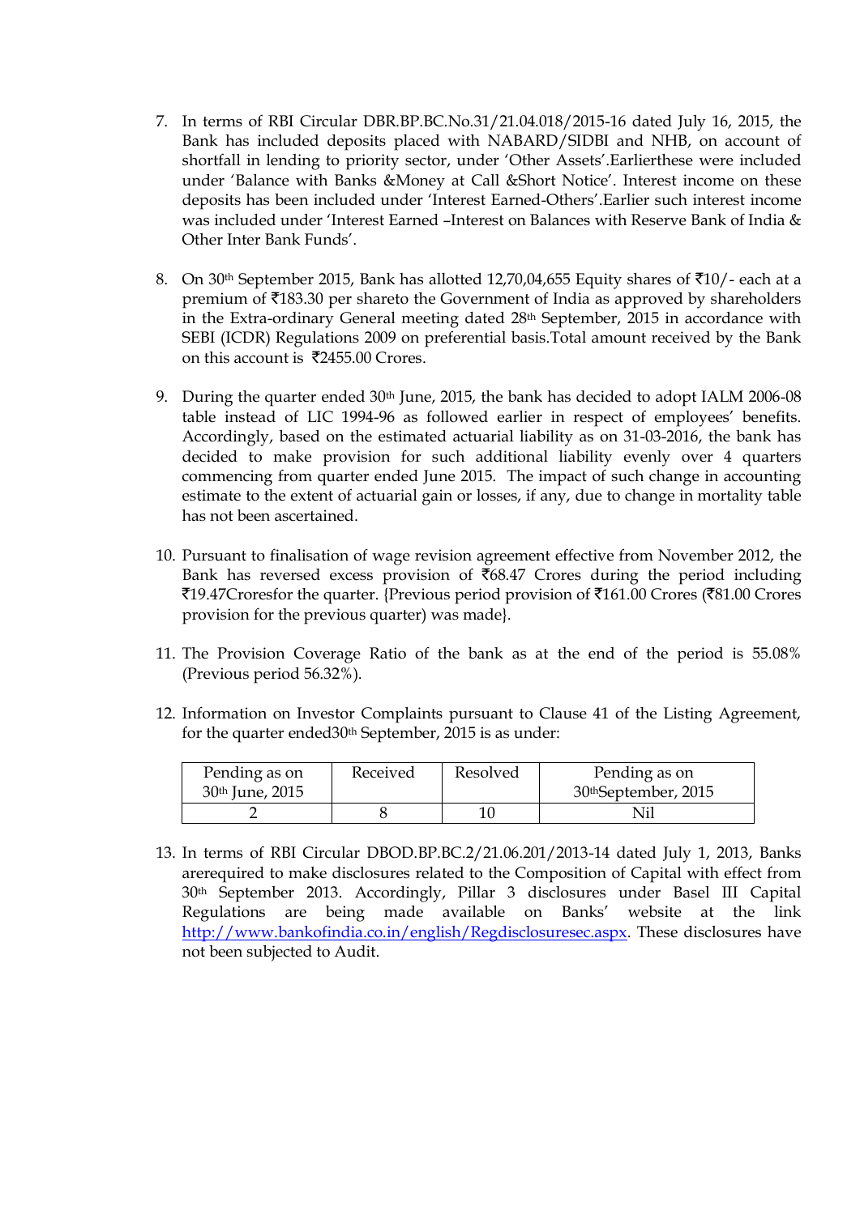- 7. In terms of RBI Circular DBR.BP.BC.No.31/21.04.018/2015-16 dated July 16, 2015, the Bank has included deposits placed with NABARD/SIDBI and NHB, on account of shortfall in lending to priority sector, under 'Other Assets'.Earlierthese were included under 'Balance with Banks &Money at Call &Short Notice'. Interest income on these deposits has been included under 'Interest Earned-Others'.Earlier such interest income was included under 'Interest Earned –Interest on Balances with Reserve Bank of India & Other Inter Bank Funds'.
- 8. On 30<sup>th</sup> September 2015, Bank has allotted 12,70,04,655 Equity shares of  $\bar{z}10/$  each at a premium of  $\bar{z}$ 183.30 per shareto the Government of India as approved by shareholders in the Extra-ordinary General meeting dated 28th September, 2015 in accordance with SEBI (ICDR) Regulations 2009 on preferential basis.Total amount received by the Bank on this account is  $\overline{5}2455.00$  Crores.
- 9. During the quarter ended 30<sup>th</sup> June, 2015, the bank has decided to adopt IALM 2006-08 table instead of LIC 1994-96 as followed earlier in respect of employees' benefits. Accordingly, based on the estimated actuarial liability as on 31-03-2016, the bank has decided to make provision for such additional liability evenly over 4 quarters commencing from quarter ended June 2015. The impact of such change in accounting estimate to the extent of actuarial gain or losses, if any, due to change in mortality table has not been ascertained.
- 10. Pursuant to finalisation of wage revision agreement effective from November 2012, the Bank has reversed excess provision of  $\bar{c}68.47$  Crores during the period including `19.47Croresfor the quarter. {Previous period provision of `161.00 Crores (`81.00 Crores provision for the previous quarter) was made}.
- 11. The Provision Coverage Ratio of the bank as at the end of the period is 55.08% (Previous period 56.32%).
- 12. Information on Investor Complaints pursuant to Clause 41 of the Listing Agreement, for the quarter ended30<sup>th</sup> September, 2015 is as under:

| Pending as on               | Received | Resolved | Pending as on                    |
|-----------------------------|----------|----------|----------------------------------|
| 30 <sup>th</sup> June, 2015 |          |          | 30 <sup>th</sup> September, 2015 |
|                             |          |          |                                  |

13. In terms of RBI Circular DBOD.BP.BC.2/21.06.201/2013-14 dated July 1, 2013, Banks arerequired to make disclosures related to the Composition of Capital with effect from 30th September 2013. Accordingly, Pillar 3 disclosures under Basel III Capital Regulations are being made available on Banks' website at the link [http://www.bankofindia.co.in/english/Regdisclosuresec.aspx.](http://www.bankofindia.co.in/english/Regdisclosuresec.aspx) These disclosures have not been subjected to Audit.